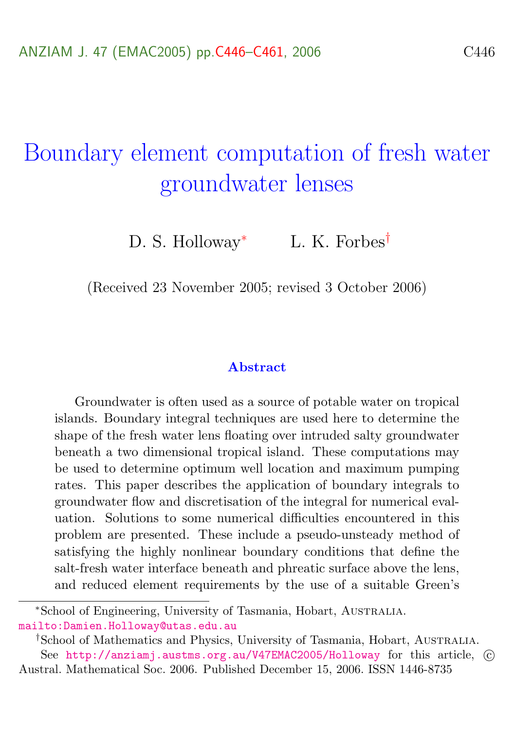# <span id="page-0-0"></span>Boundary element computation of fresh water groundwater lenses

D. S. Holloway<sup>∗</sup> L. K. Forbes<sup>†</sup>

(Received 23 November 2005; revised 3 October 2006)

#### Abstract

Groundwater is often used as a source of potable water on tropical islands. Boundary integral techniques are used here to determine the shape of the fresh water lens floating over intruded salty groundwater beneath a two dimensional tropical island. These computations may be used to determine optimum well location and maximum pumping rates. This paper describes the application of boundary integrals to groundwater flow and discretisation of the integral for numerical evaluation. Solutions to some numerical difficulties encountered in this problem are presented. These include a pseudo-unsteady method of satisfying the highly nonlinear boundary conditions that define the salt-fresh water interface beneath and phreatic surface above the lens, and reduced element requirements by the use of a suitable Green's

<sup>∗</sup>School of Engineering, University of Tasmania, Hobart, Australia. <mailto:Damien.Holloway@utas.edu.au>

<sup>†</sup>School of Mathematics and Physics, University of Tasmania, Hobart, Australia. See <http://anziamj.austms.org.au/V47EMAC2005/Holloway> for this article,  $\odot$ Austral. Mathematical Soc. 2006. Published December 15, 2006. ISSN 1446-8735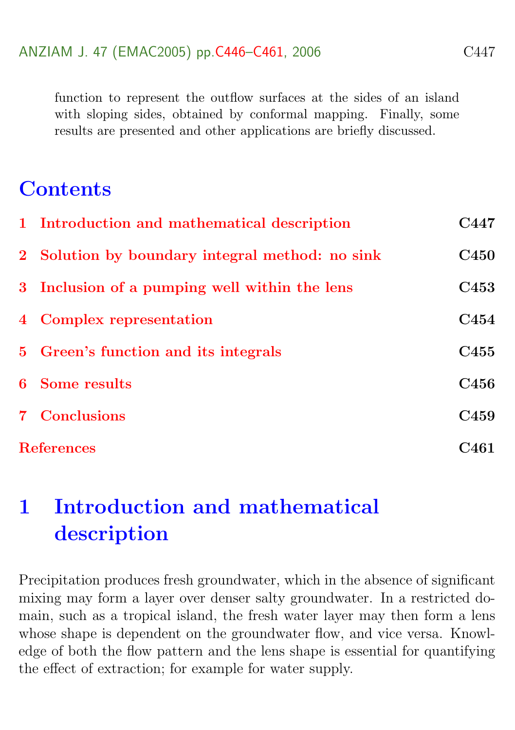function to represent the outflow surfaces at the sides of an island with sloping sides, obtained by conformal mapping. Finally, some results are presented and other applications are briefly discussed.

### **Contents**

|                   | 1 Introduction and mathematical description     | C447             |
|-------------------|-------------------------------------------------|------------------|
|                   | 2 Solution by boundary integral method: no sink | <b>C450</b>      |
|                   | 3 Inclusion of a pumping well within the lens   | C <sub>453</sub> |
|                   | 4 Complex representation                        | C454             |
|                   | 5 Green's function and its integrals            | C <sub>455</sub> |
|                   | <b>6</b> Some results                           | C <sub>456</sub> |
|                   | <b>7</b> Conclusions                            | C <sub>459</sub> |
| <b>References</b> |                                                 | C461             |

## <span id="page-1-0"></span>1 Introduction and mathematical description

Precipitation produces fresh groundwater, which in the absence of significant mixing may form a layer over denser salty groundwater. In a restricted domain, such as a tropical island, the fresh water layer may then form a lens whose shape is dependent on the groundwater flow, and vice versa. Knowledge of both the flow pattern and the lens shape is essential for quantifying the effect of extraction; for example for water supply.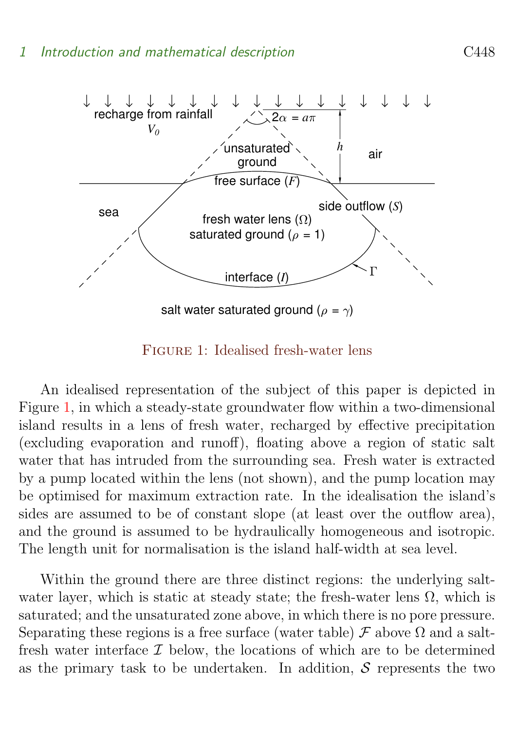

<span id="page-2-0"></span>Figure 1: Idealised fresh-water lens

An idealised representation of the subject of this paper is depicted in Figure [1,](#page-2-0) in which a steady-state groundwater flow within a two-dimensional island results in a lens of fresh water, recharged by effective precipitation (excluding evaporation and runoff), floating above a region of static salt water that has intruded from the surrounding sea. Fresh water is extracted by a pump located within the lens (not shown), and the pump location may be optimised for maximum extraction rate. In the idealisation the island's sides are assumed to be of constant slope (at least over the outflow area), and the ground is assumed to be hydraulically homogeneous and isotropic. The length unit for normalisation is the island half-width at sea level.

Within the ground there are three distinct regions: the underlying saltwater layer, which is static at steady state; the fresh-water lens  $\Omega$ , which is saturated; and the unsaturated zone above, in which there is no pore pressure. Separating these regions is a free surface (water table)  $\mathcal F$  above  $\Omega$  and a saltfresh water interface  $\mathcal I$  below, the locations of which are to be determined as the primary task to be undertaken. In addition,  $\mathcal S$  represents the two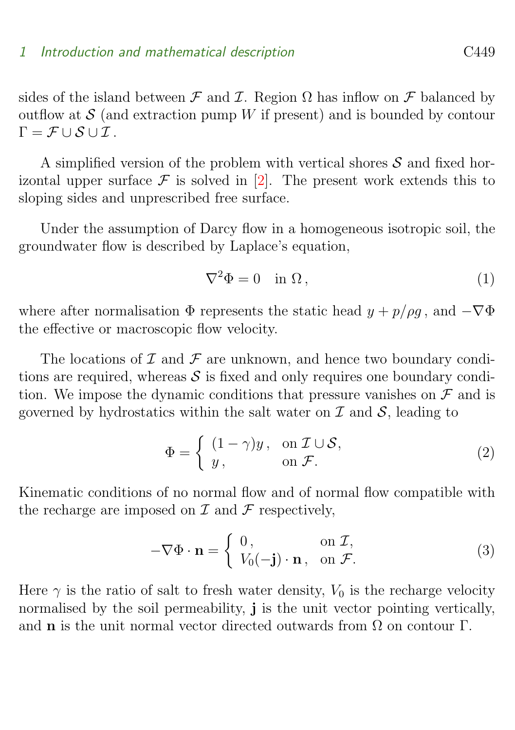<span id="page-3-3"></span>sides of the island between  $\mathcal F$  and  $\mathcal I$ . Region  $\Omega$  has inflow on  $\mathcal F$  balanced by outflow at  $S$  (and extraction pump W if present) and is bounded by contour  $\Gamma = \mathcal{F} \cup \mathcal{S} \cup \mathcal{I}$ .

A simplified version of the problem with vertical shores  $S$  and fixed horizontal upper surface  $\mathcal F$  is solved in [\[2\]](#page-15-1). The present work extends this to sloping sides and unprescribed free surface.

Under the assumption of Darcy flow in a homogeneous isotropic soil, the groundwater flow is described by Laplace's equation,

<span id="page-3-2"></span>
$$
\nabla^2 \Phi = 0 \quad \text{in } \Omega \,, \tag{1}
$$

where after normalisation  $\Phi$  represents the static head  $y + p/\rho g$ , and  $-\nabla \Phi$ the effective or macroscopic flow velocity.

The locations of  $\mathcal I$  and  $\mathcal F$  are unknown, and hence two boundary conditions are required, whereas  $\mathcal S$  is fixed and only requires one boundary condition. We impose the dynamic conditions that pressure vanishes on  $\mathcal F$  and is governed by hydrostatics within the salt water on  $\mathcal I$  and  $\mathcal S$ , leading to

<span id="page-3-1"></span>
$$
\Phi = \begin{cases} (1 - \gamma)y, & \text{on } \mathcal{I} \cup \mathcal{S}, \\ y, & \text{on } \mathcal{F}. \end{cases}
$$
 (2)

Kinematic conditions of no normal flow and of normal flow compatible with the recharge are imposed on  $\mathcal I$  and  $\mathcal F$  respectively,

$$
-\nabla\Phi \cdot \mathbf{n} = \begin{cases} 0, & \text{on } \mathcal{I}, \\ V_0(-\mathbf{j}) \cdot \mathbf{n}, & \text{on } \mathcal{F}. \end{cases}
$$
 (3)

<span id="page-3-0"></span>Here  $\gamma$  is the ratio of salt to fresh water density,  $V_0$  is the recharge velocity normalised by the soil permeability, j is the unit vector pointing vertically, and **n** is the unit normal vector directed outwards from  $\Omega$  on contour  $\Gamma$ .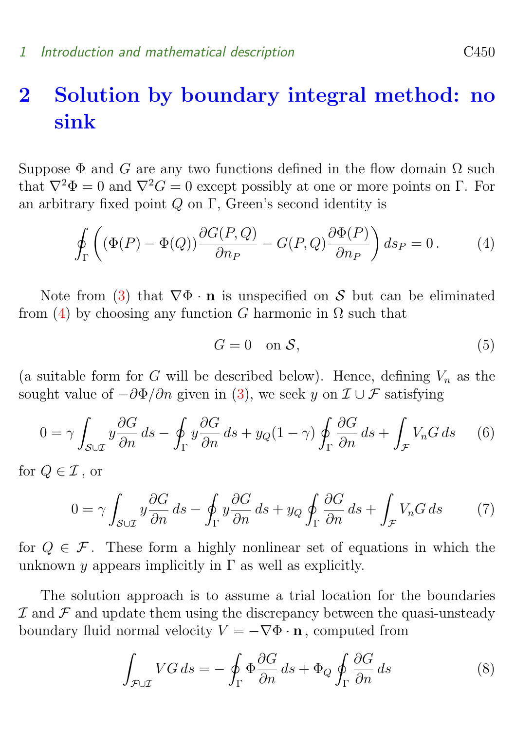## 2 Solution by boundary integral method: no sink

Suppose  $\Phi$  and G are any two functions defined in the flow domain  $\Omega$  such that  $\nabla^2 \Phi = 0$  and  $\nabla^2 G = 0$  except possibly at one or more points on Γ. For an arbitrary fixed point Q on Γ, Green's second identity is

$$
\oint_{\Gamma} \left( (\Phi(P) - \Phi(Q)) \frac{\partial G(P, Q)}{\partial n_P} - G(P, Q) \frac{\partial \Phi(P)}{\partial n_P} \right) ds_P = 0. \tag{4}
$$

Note from [\(3\)](#page-3-1) that  $\nabla \Phi \cdot \mathbf{n}$  is unspecified on S but can be eliminated from [\(4\)](#page-4-0) by choosing any function G harmonic in  $\Omega$  such that

<span id="page-4-4"></span><span id="page-4-2"></span><span id="page-4-0"></span>
$$
G = 0 \quad \text{on } \mathcal{S},\tag{5}
$$

(a suitable form for G will be described below). Hence, defining  $V_n$  as the sought value of  $-\partial \Phi/\partial n$  given in [\(3\)](#page-3-1), we seek y on  $\mathcal{I} \cup \mathcal{F}$  satisfying

$$
0 = \gamma \int_{S \cup \mathcal{I}} y \frac{\partial G}{\partial n} ds - \oint_{\Gamma} y \frac{\partial G}{\partial n} ds + y_Q (1 - \gamma) \oint_{\Gamma} \frac{\partial G}{\partial n} ds + \int_{\mathcal{F}} V_n G ds \qquad (6)
$$

for  $Q \in \mathcal{I}$ , or

<span id="page-4-3"></span>
$$
0 = \gamma \int_{\mathcal{S} \cup \mathcal{I}} y \frac{\partial G}{\partial n} ds - \oint_{\Gamma} y \frac{\partial G}{\partial n} ds + y_Q \oint_{\Gamma} \frac{\partial G}{\partial n} ds + \int_{\mathcal{F}} V_n G ds \tag{7}
$$

for  $Q \in \mathcal{F}$ . These form a highly nonlinear set of equations in which the unknown y appears implicitly in  $\Gamma$  as well as explicitly.

The solution approach is to assume a trial location for the boundaries  $I$  and  $I$  and update them using the discrepancy between the quasi-unsteady boundary fluid normal velocity  $V = -\nabla \Phi \cdot \mathbf{n}$ , computed from

<span id="page-4-1"></span>
$$
\int_{\mathcal{F}\cup\mathcal{I}} VG \, ds = -\oint_{\Gamma} \Phi \frac{\partial G}{\partial n} \, ds + \Phi_Q \oint_{\Gamma} \frac{\partial G}{\partial n} \, ds \tag{8}
$$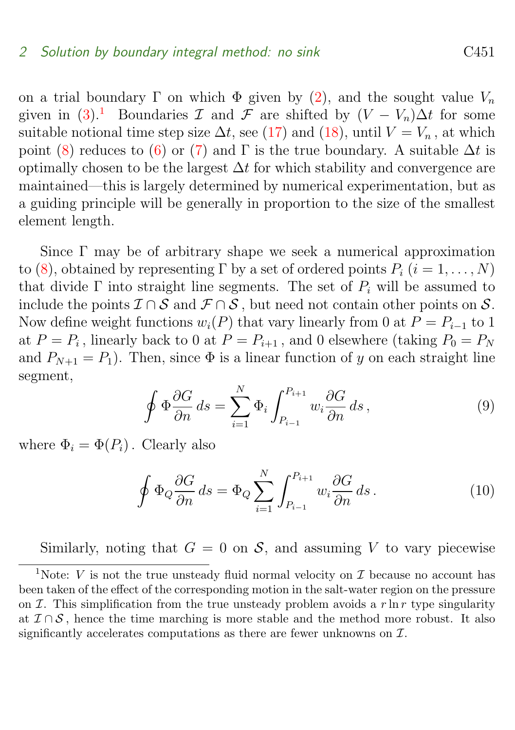on a trial boundary Γ on which  $\Phi$  given by [\(2\)](#page-3-2), and the sought value  $V_n$ given in  $(3)$ <sup>[1](#page-5-0)</sup> Boundaries I and F are shifted by  $(V - V_n)\Delta t$  for some suitable notional time step size  $\Delta t$ , see [\(17\)](#page-6-0) and [\(18\)](#page-6-0), until  $V = V_n$ , at which point [\(8\)](#page-4-1) reduces to [\(6\)](#page-4-2) or [\(7\)](#page-4-3) and  $\Gamma$  is the true boundary. A suitable  $\Delta t$  is optimally chosen to be the largest  $\Delta t$  for which stability and convergence are maintained—this is largely determined by numerical experimentation, but as a guiding principle will be generally in proportion to the size of the smallest element length.

Since Γ may be of arbitrary shape we seek a numerical approximation to [\(8\)](#page-4-1), obtained by representing  $\Gamma$  by a set of ordered points  $P_i$   $(i = 1, \ldots, N)$ that divide  $\Gamma$  into straight line segments. The set of  $P_i$  will be assumed to include the points  $\mathcal{I} \cap \mathcal{S}$  and  $\mathcal{F} \cap \mathcal{S}$ , but need not contain other points on  $\mathcal{S}$ . Now define weight functions  $w_i(P)$  that vary linearly from 0 at  $P = P_{i-1}$  to 1 at  $P = P_i$ , linearly back to 0 at  $P = P_{i+1}$ , and 0 elsewhere (taking  $P_0 = P_N$ and  $P_{N+1} = P_1$ ). Then, since  $\Phi$  is a linear function of y on each straight line segment,

$$
\oint \Phi \frac{\partial G}{\partial n} ds = \sum_{i=1}^{N} \Phi_i \int_{P_{i-1}}^{P_{i+1}} w_i \frac{\partial G}{\partial n} ds , \qquad (9)
$$

where  $\Phi_i = \Phi(P_i)$ . Clearly also

$$
\oint \Phi_Q \frac{\partial G}{\partial n} ds = \Phi_Q \sum_{i=1}^N \int_{P_{i-1}}^{P_{i+1}} w_i \frac{\partial G}{\partial n} ds.
$$
\n(10)

Similarly, noting that  $G = 0$  on S, and assuming V to vary piecewise

<span id="page-5-0"></span><sup>&</sup>lt;sup>1</sup>Note: V is not the true unsteady fluid normal velocity on  $\mathcal I$  because no account has been taken of the effect of the corresponding motion in the salt-water region on the pressure on I. This simplification from the true unsteady problem avoids a r  $\ln r$  type singularity at  $\mathcal{I} \cap \mathcal{S}$ , hence the time marching is more stable and the method more robust. It also significantly accelerates computations as there are fewer unknowns on  $\mathcal{I}$ .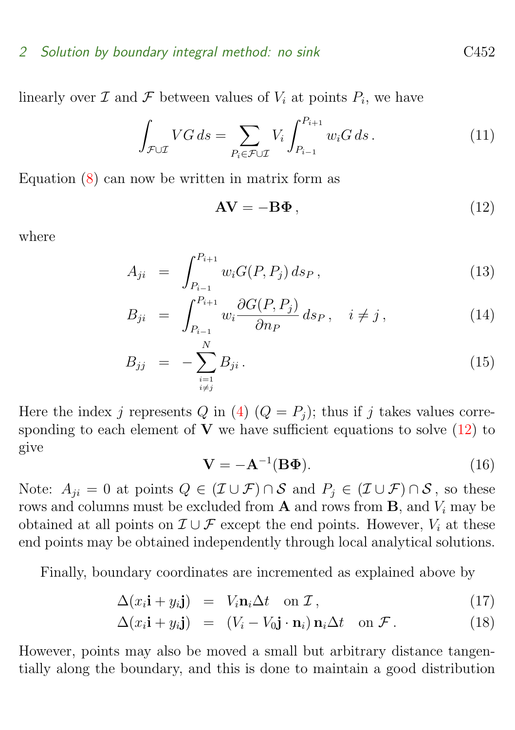#### 2 Solution by boundary integral method: no sink C452

linearly over  $\mathcal I$  and  $\mathcal F$  between values of  $V_i$  at points  $P_i$ , we have

$$
\int_{\mathcal{F}\cup\mathcal{I}} VG \, ds = \sum_{P_i \in \mathcal{F}\cup\mathcal{I}} V_i \int_{P_{i-1}}^{P_{i+1}} w_i G \, ds. \tag{11}
$$

Equation [\(8\)](#page-4-1) can now be written in matrix form as

<span id="page-6-1"></span>
$$
AV = -B\Phi, \qquad (12)
$$

where

$$
A_{ji} = \int_{P_{i-1}}^{P_{i+1}} w_i G(P, P_j) \, ds_P, \qquad (13)
$$

<span id="page-6-3"></span>
$$
B_{ji} = \int_{P_{i-1}}^{P_{i+1}} w_i \frac{\partial G(P, P_j)}{\partial n_P} ds_P, \quad i \neq j,
$$
\n(14)

$$
B_{jj} = -\sum_{\substack{i=1\\i \neq j}}^N B_{ji} \,. \tag{15}
$$

<span id="page-6-2"></span>Here the index j represents Q in [\(4\)](#page-4-0)  $(Q = P_i)$ ; thus if j takes values corresponding to each element of  $V$  we have sufficient equations to solve  $(12)$  to give

$$
\mathbf{V} = -\mathbf{A}^{-1}(\mathbf{B}\mathbf{\Phi}).\tag{16}
$$

Note:  $A_{ii} = 0$  at points  $Q \in (\mathcal{I} \cup \mathcal{F}) \cap \mathcal{S}$  and  $P_i \in (\mathcal{I} \cup \mathcal{F}) \cap \mathcal{S}$ , so these rows and columns must be excluded from  $A$  and rows from  $B$ , and  $V_i$  may be obtained at all points on  $\mathcal{I} \cup \mathcal{F}$  except the end points. However,  $V_i$  at these end points may be obtained independently through local analytical solutions.

Finally, boundary coordinates are incremented as explained above by

$$
\Delta(x_i \mathbf{i} + y_i \mathbf{j}) = V_i \mathbf{n}_i \Delta t \quad \text{on } \mathcal{I}, \tag{17}
$$

<span id="page-6-0"></span>
$$
\Delta(x_i \mathbf{i} + y_i \mathbf{j}) = (V_i - V_0 \mathbf{j} \cdot \mathbf{n}_i) \mathbf{n}_i \Delta t \quad \text{on } \mathcal{F} \,.
$$
 (18)

However, points may also be moved a small but arbitrary distance tangentially along the boundary, and this is done to maintain a good distribution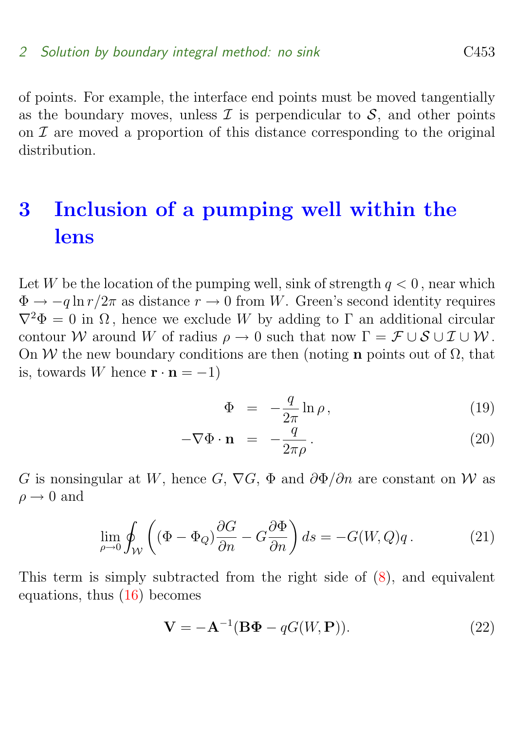of points. For example, the interface end points must be moved tangentially as the boundary moves, unless  $\mathcal I$  is perpendicular to  $\mathcal S$ , and other points on  $\mathcal I$  are moved a proportion of this distance corresponding to the original distribution.

## <span id="page-7-0"></span>3 Inclusion of a pumping well within the lens

Let W be the location of the pumping well, sink of strength  $q < 0$ , near which  $\Phi \to -q \ln r/2\pi$  as distance  $r \to 0$  from W. Green's second identity requires  $\nabla^2 \Phi = 0$  in  $\Omega$ , hence we exclude W by adding to  $\Gamma$  an additional circular contour W around W of radius  $\rho \to 0$  such that now  $\Gamma = \mathcal{F} \cup \mathcal{S} \cup \mathcal{I} \cup \mathcal{W}$ . On W the new boundary conditions are then (noting **n** points out of  $\Omega$ , that is, towards W hence  $\mathbf{r} \cdot \mathbf{n} = -1$ )

$$
\Phi = -\frac{q}{2\pi} \ln \rho, \qquad (19)
$$

$$
-\nabla\Phi \cdot \mathbf{n} = -\frac{q}{2\pi\rho}.
$$
 (20)

G is nonsingular at W, hence G,  $\nabla G$ ,  $\Phi$  and  $\partial \Phi / \partial n$  are constant on W as  $\rho \rightarrow 0$  and

$$
\lim_{\rho \to 0} \oint_{\mathcal{W}} \left( (\Phi - \Phi_Q) \frac{\partial G}{\partial n} - G \frac{\partial \Phi}{\partial n} \right) ds = -G(W, Q)q. \tag{21}
$$

This term is simply subtracted from the right side of [\(8\)](#page-4-1), and equivalent equations, thus [\(16\)](#page-6-2) becomes

$$
\mathbf{V} = -\mathbf{A}^{-1}(\mathbf{B}\Phi - qG(W, \mathbf{P})).
$$
\n(22)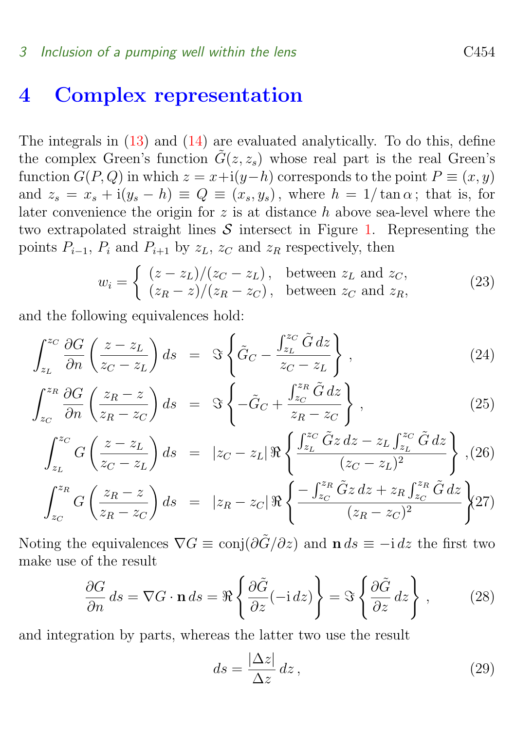### <span id="page-8-0"></span>4 Complex representation

The integrals in [\(13\)](#page-6-3) and [\(14\)](#page-6-3) are evaluated analytically. To do this, define the complex Green's function  $\tilde{G}(z, z_s)$  whose real part is the real Green's function  $G(P,Q)$  in which  $z = x+i(y-h)$  corresponds to the point  $P \equiv (x, y)$ and  $z_s = x_s + i(y_s - h) \equiv Q \equiv (x_s, y_s)$ , where  $h = 1/\tan \alpha$ ; that is, for later convenience the origin for  $z$  is at distance  $h$  above sea-level where the two extrapolated straight lines  $S$  intersect in Figure [1.](#page-2-0) Representing the points  $P_{i-1}$ ,  $P_i$  and  $P_{i+1}$  by  $z_L$ ,  $z_C$  and  $z_R$  respectively, then

<span id="page-8-1"></span>
$$
w_i = \begin{cases} (z - z_L)/(z_C - z_L), & \text{between } z_L \text{ and } z_C, \\ (z_R - z)/(z_R - z_C), & \text{between } z_C \text{ and } z_R, \end{cases}
$$
(23)

and the following equivalences hold:

$$
\int_{z_L}^{z_C} \frac{\partial G}{\partial n} \left( \frac{z - z_L}{z_C - z_L} \right) ds = \Im \left\{ \tilde{G}_C - \frac{\int_{z_L}^{z_C} \tilde{G} \, dz}{z_C - z_L} \right\},\tag{24}
$$

<span id="page-8-2"></span>
$$
\int_{z_C}^{z_R} \frac{\partial G}{\partial n} \left( \frac{z_R - z}{z_R - z_C} \right) ds = \Im \left\{ -\tilde{G}_C + \frac{\int_{z_C}^{z_R} \tilde{G} \, dz}{z_R - z_C} \right\},\tag{25}
$$

$$
\int_{z_L}^{z_C} G\left(\frac{z-z_L}{z_C-z_L}\right) ds = |z_C - z_L| \Re \left\{ \frac{\int_{z_L}^{z_C} \tilde{G} z \, dz - z_L \int_{z_L}^{z_C} \tilde{G} \, dz}{(z_C - z_L)^2} \right\}, (26)
$$
\n
$$
\int_{z_R}^{z_R} (z_R - z) \left[ - \int_{z_R}^{z_R} \tilde{G} z \, dz + z_R \int_{z_R}^{z_R} \tilde{G} \, dz \right]
$$

$$
\int_{z_C}^{z_R} G\left(\frac{z_R - z}{z_R - z_C}\right) ds = |z_R - z_C| \Re \left\{ \frac{-\int_{z_C}^{z_R} \tilde{G} z \, dz + z_R \int_{z_C}^{z_R} \tilde{G} \, dz}{(z_R - z_C)^2} \right\} (27)
$$

Noting the equivalences  $\nabla G \equiv \text{conj}(\partial \tilde{G}/\partial z)$  and  $\mathbf{n} ds \equiv -i dz$  the first two make use of the result

$$
\frac{\partial G}{\partial n} ds = \nabla G \cdot \mathbf{n} ds = \Re \left\{ \frac{\partial \tilde{G}}{\partial z} (-i dz) \right\} = \Im \left\{ \frac{\partial \tilde{G}}{\partial z} dz \right\},\qquad(28)
$$

and integration by parts, whereas the latter two use the result

$$
ds = \frac{|\Delta z|}{\Delta z} dz, \qquad (29)
$$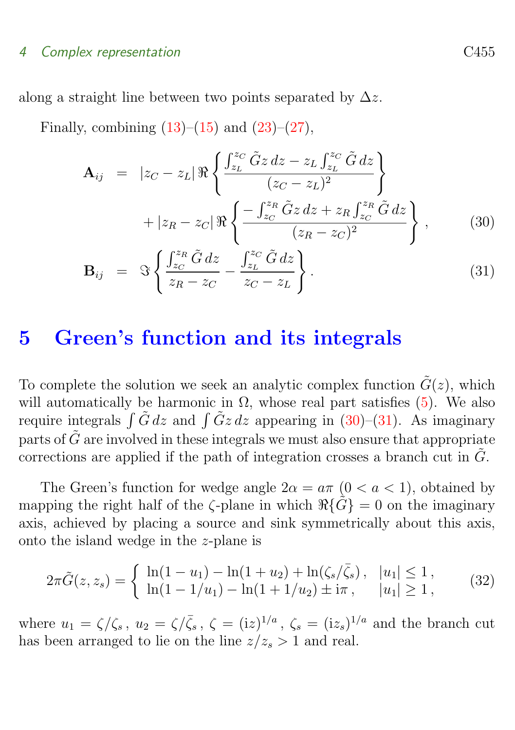#### 4 Complex representation C455

along a straight line between two points separated by  $\Delta z$ .

Finally, combining  $(13)$ – $(15)$  and  $(23)$ – $(27)$ ,

<span id="page-9-1"></span>
$$
\mathbf{A}_{ij} = |z_C - z_L| \Re \left\{ \frac{\int_{z_L}^{z_C} \tilde{G} z \, dz - z_L \int_{z_L}^{z_C} \tilde{G} \, dz}{(z_C - z_L)^2} \right\} \n+ |z_R - z_C| \Re \left\{ \frac{-\int_{z_C}^{z_R} \tilde{G} z \, dz + z_R \int_{z_C}^{z_R} \tilde{G} \, dz}{(z_R - z_C)^2} \right\},
$$
\n(30)

$$
\mathbf{B}_{ij} = \Im \left\{ \frac{\int_{zc}^{z_R} \tilde{G} dz}{z_R - z_C} - \frac{\int_{z_L}^{z_C} \tilde{G} dz}{z_C - z_L} \right\}.
$$
 (31)

### <span id="page-9-0"></span>5 Green's function and its integrals

To complete the solution we seek an analytic complex function  $\tilde{G}(z)$ , which will automatically be harmonic in  $\Omega$ , whose real part satisfies [\(5\)](#page-4-4). We also require integrals  $\int \tilde{G} dz$  and  $\int \tilde{G} z dz$  appearing in [\(30\)](#page-9-1)–[\(31\)](#page-9-1). As imaginary parts of  $\tilde{G}$  are involved in these integrals we must also ensure that appropriate corrections are applied if the path of integration crosses a branch cut in  $\tilde{G}$ .

The Green's function for wedge angle  $2\alpha = a\pi$  ( $0 < a < 1$ ), obtained by mapping the right half of the  $\zeta$ -plane in which  $\Re{\{\tilde{G}\}}=0$  on the imaginary axis, achieved by placing a source and sink symmetrically about this axis, onto the island wedge in the z-plane is

$$
2\pi \tilde{G}(z, z_s) = \begin{cases} \ln(1 - u_1) - \ln(1 + u_2) + \ln(\zeta_s/\bar{\zeta}_s), & |u_1| \le 1, \\ \ln(1 - 1/u_1) - \ln(1 + 1/u_2) \pm i\pi, & |u_1| \ge 1, \end{cases}
$$
(32)

where  $u_1 = \zeta/\zeta_s$ ,  $u_2 = \zeta/\bar{\zeta}_s$ ,  $\zeta = (iz)^{1/a}$ ,  $\zeta_s = (iz_s)^{1/a}$  and the branch cut has been arranged to lie on the line  $z/z_s > 1$  and real.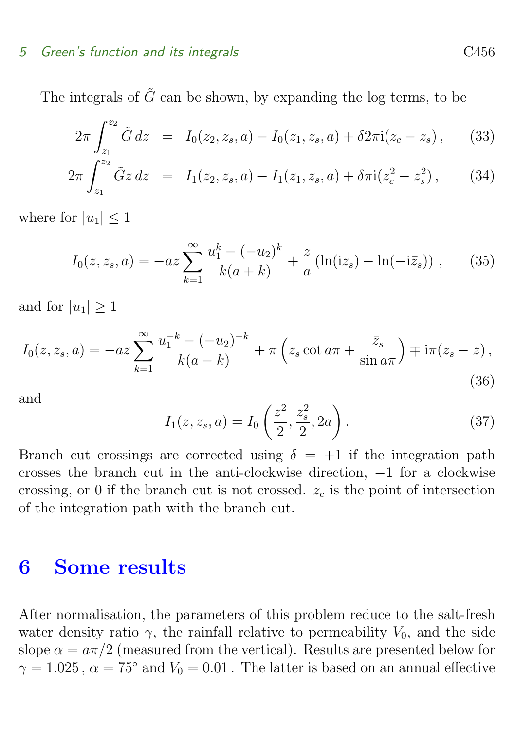#### 5 Green's function and its integrals C456

The integrals of  $\tilde{G}$  can be shown, by expanding the log terms, to be

$$
2\pi \int_{z_1}^{z_2} \tilde{G} dz = I_0(z_2, z_s, a) - I_0(z_1, z_s, a) + \delta 2\pi i (z_c - z_s), \qquad (33)
$$

$$
2\pi \int_{z_1}^{z_2} \tilde{G} dz = I_0(z_1, z_2, a) - I_0(z_1, z_3, a) + \delta 2\pi i (z_c - z_s), \qquad (34)
$$

$$
2\pi \int_{z_1}^{z_2} \tilde{G}z \, dz = I_1(z_2, z_s, a) - I_1(z_1, z_s, a) + \delta \pi i (z_c^2 - z_s^2), \qquad (34)
$$

where for  $|u_1| \leq 1$ 

$$
I_0(z, z_s, a) = -az \sum_{k=1}^{\infty} \frac{u_1^k - (-u_2)^k}{k(a+k)} + \frac{z}{a} \left( \ln(iz_s) - \ln(-i\bar{z}_s) \right), \qquad (35)
$$

and for  $|u_1| \geq 1$ 

$$
I_0(z, z_s, a) = -az \sum_{k=1}^{\infty} \frac{u_1^{-k} - (-u_2)^{-k}}{k(a-k)} + \pi \left( z_s \cot a\pi + \frac{\bar{z}_s}{\sin a\pi} \right) \mp i\pi (z_s - z),
$$
\n(36)

and

$$
I_1(z, z_s, a) = I_0\left(\frac{z^2}{2}, \frac{z_s^2}{2}, 2a\right).
$$
 (37)

Branch cut crossings are corrected using  $\delta = +1$  if the integration path crosses the branch cut in the anti-clockwise direction, −1 for a clockwise crossing, or 0 if the branch cut is not crossed.  $z_c$  is the point of intersection of the integration path with the branch cut.

### <span id="page-10-0"></span>6 Some results

After normalisation, the parameters of this problem reduce to the salt-fresh water density ratio  $\gamma$ , the rainfall relative to permeability  $V_0$ , and the side slope  $\alpha = a\pi/2$  (measured from the vertical). Results are presented below for  $\gamma = 1.025$ ,  $\alpha = 75^{\circ}$  and  $V_0 = 0.01$ . The latter is based on an annual effective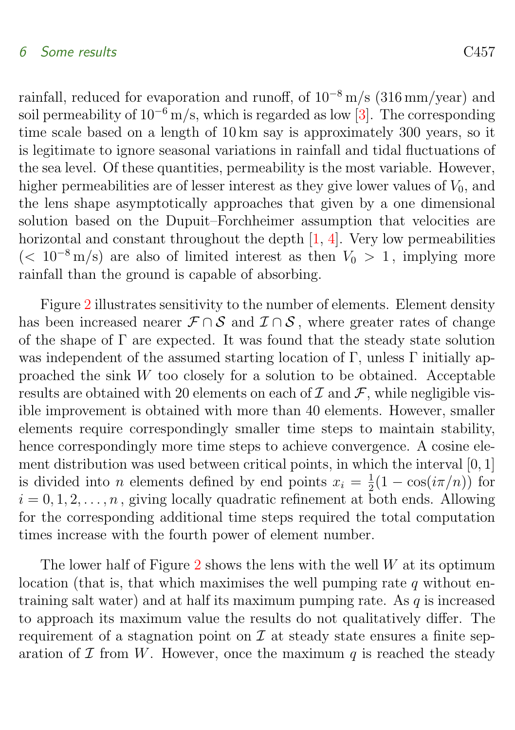#### <span id="page-11-0"></span>6 Some results C457

rainfall, reduced for evaporation and runoff, of  $10^{-8}$  m/s (316 mm/year) and soil permeability of  $10^{-6}$  m/s, which is regarded as low [\[3\]](#page-15-2). The corresponding time scale based on a length of 10 km say is approximately 300 years, so it is legitimate to ignore seasonal variations in rainfall and tidal fluctuations of the sea level. Of these quantities, permeability is the most variable. However, higher permeabilities are of lesser interest as they give lower values of  $V_0$ , and the lens shape asymptotically approaches that given by a one dimensional solution based on the Dupuit–Forchheimer assumption that velocities are horizontal and constant throughout the depth  $[1, 4]$  $[1, 4]$ . Very low permeabilities  $(< 10^{-8}$  m/s) are also of limited interest as then  $V_0 > 1$ , implying more

rainfall than the ground is capable of absorbing.

Figure [2](#page-12-0) illustrates sensitivity to the number of elements. Element density has been increased nearer  $\mathcal{F} \cap \mathcal{S}$  and  $\mathcal{I} \cap \mathcal{S}$ , where greater rates of change of the shape of  $\Gamma$  are expected. It was found that the steady state solution was independent of the assumed starting location of Γ, unless Γ initially approached the sink W too closely for a solution to be obtained. Acceptable results are obtained with 20 elements on each of  $\mathcal I$  and  $\mathcal F$ , while negligible visible improvement is obtained with more than 40 elements. However, smaller elements require correspondingly smaller time steps to maintain stability, hence correspondingly more time steps to achieve convergence. A cosine element distribution was used between critical points, in which the interval [0, 1] is divided into *n* elements defined by end points  $x_i = \frac{1}{2}$  $\frac{1}{2}(1-\cos(i\pi/n))$  for  $i = 0, 1, 2, \ldots, n$ , giving locally quadratic refinement at both ends. Allowing for the corresponding additional time steps required the total computation times increase with the fourth power of element number.

The lower half of Figure  $2$  shows the lens with the well  $W$  at its optimum location (that is, that which maximises the well pumping rate  $q$  without entraining salt water) and at half its maximum pumping rate. As q is increased to approach its maximum value the results do not qualitatively differ. The requirement of a stagnation point on  $\mathcal I$  at steady state ensures a finite separation of  $\mathcal I$  from W. However, once the maximum q is reached the steady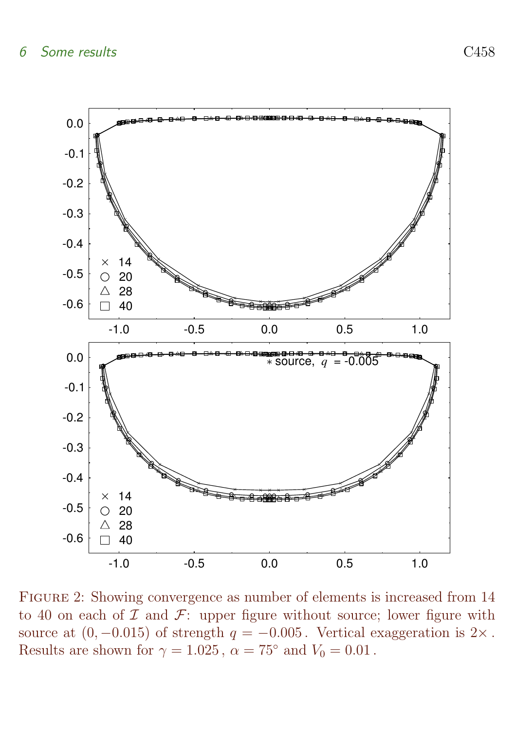

<span id="page-12-0"></span>Figure 2: Showing convergence as number of elements is increased from 14 to 40 on each of  $\mathcal I$  and  $\mathcal F$ : upper figure without source; lower figure with source at  $(0, -0.015)$  of strength  $q = -0.005$ . Vertical exaggeration is 2×. Results are shown for  $\gamma = 1.025$ ,  $\alpha = 75^{\circ}$  and  $V_0 = 0.01$ .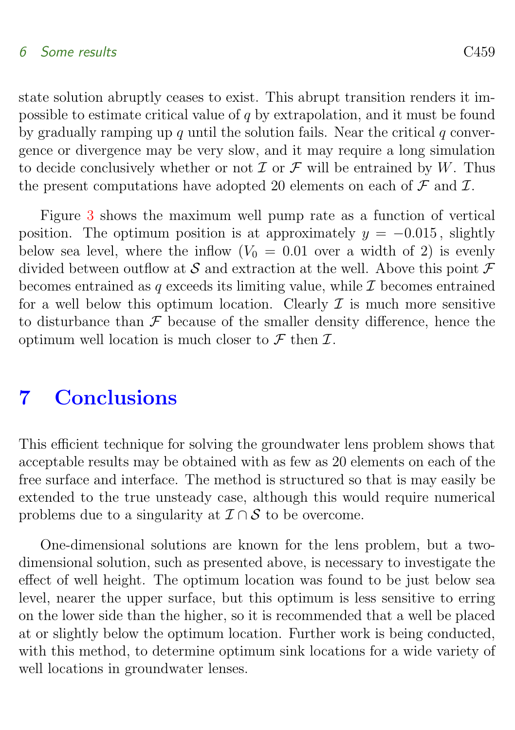#### 6 Some results C459

state solution abruptly ceases to exist. This abrupt transition renders it impossible to estimate critical value of q by extrapolation, and it must be found by gradually ramping up q until the solution fails. Near the critical  $q$  convergence or divergence may be very slow, and it may require a long simulation to decide conclusively whether or not  $\mathcal I$  or  $\mathcal F$  will be entrained by W. Thus the present computations have adopted 20 elements on each of  $\mathcal F$  and  $\mathcal I$ .

Figure [3](#page-14-0) shows the maximum well pump rate as a function of vertical position. The optimum position is at approximately  $y = -0.015$ , slightly below sea level, where the inflow  $(V_0 = 0.01)$  over a width of 2) is evenly divided between outflow at S and extraction at the well. Above this point  $\mathcal F$ becomes entrained as q exceeds its limiting value, while  $\mathcal I$  becomes entrained for a well below this optimum location. Clearly  $\mathcal I$  is much more sensitive to disturbance than  $\mathcal F$  because of the smaller density difference, hence the optimum well location is much closer to  $\mathcal F$  then  $\mathcal I$ .

### <span id="page-13-0"></span>7 Conclusions

This efficient technique for solving the groundwater lens problem shows that acceptable results may be obtained with as few as 20 elements on each of the free surface and interface. The method is structured so that is may easily be extended to the true unsteady case, although this would require numerical problems due to a singularity at  $\mathcal{I} \cap \mathcal{S}$  to be overcome.

One-dimensional solutions are known for the lens problem, but a twodimensional solution, such as presented above, is necessary to investigate the effect of well height. The optimum location was found to be just below sea level, nearer the upper surface, but this optimum is less sensitive to erring on the lower side than the higher, so it is recommended that a well be placed at or slightly below the optimum location. Further work is being conducted, with this method, to determine optimum sink locations for a wide variety of well locations in groundwater lenses.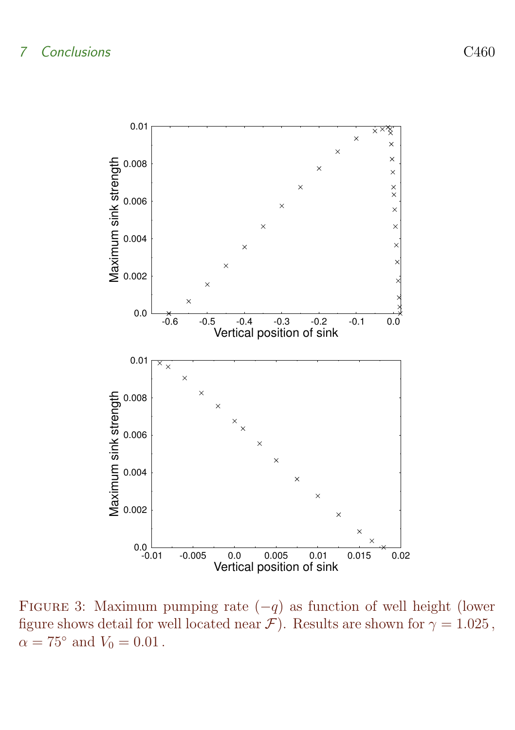

<span id="page-14-0"></span>FIGURE 3: Maximum pumping rate  $(-q)$  as function of well height (lower figure shows detail for well located near  $\mathcal{F}$ ). Results are shown for  $\gamma = 1.025$ ,  $\alpha = 75^{\circ}$  and  $V_0 = 0.01$ .